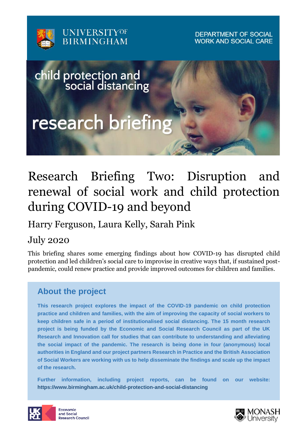

**DEPARTMENT OF SOCIAL WORK AND SOCIAL CARE** 



# Research Briefing Two: Disruption and renewal of social work and child protection during COVID-19 and beyond

Harry Ferguson, Laura Kelly, Sarah Pink

July 2020

This briefing shares some emerging findings about how COVID-19 has disrupted child protection and led children's social care to improvise in creative ways that, if sustained postpandemic, could renew practice and provide improved outcomes for children and families.

# **About the project**

**This research project explores the impact of the COVID-19 pandemic on child protection practice and children and families, with the aim of improving the capacity of social workers to keep children safe in a period of institutionalised social distancing. The 15 month research project is being funded by the Economic and Social Research Council as part of the UK Research and Innovation call for studies that can contribute to understanding and alleviating the social impact of the pandemic. The research is being done in four (anonymous) local authorities in England and our project partners Research in Practice and the British Association of Social Workers are working with us to help disseminate the findings and scale up the impact of the research.** 

**Further information, including project reports, can be found on our website: https://www.birmingham.ac.uk/child-protection-and-social-distancing**



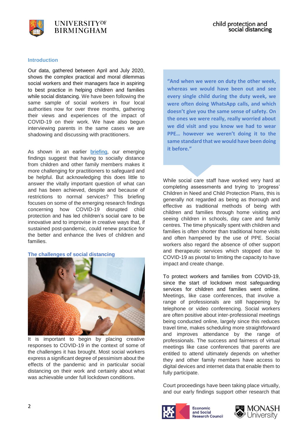

#### **Introduction**

Our data, gathered between April and July 2020, shows the complex practical and moral dilemmas social workers and their managers face in aspiring to best practice in helping children and families while social distancing. We have been following the same sample of social workers in four local authorities now for over three months, gathering their views and experiences of the impact of COVID-19 on their work. We have also begun interviewing parents in the same cases we are shadowing and discussing with practitioners.

As shown in an earlier [briefing,](https://www.birmingham.ac.uk/Documents/college-social-sciences/social-policy/publications/research-briefing-1-child-protection-risks-covid-accessible.pdf) our emerging findings suggest that having to socially distance from children and other family members makes it more challenging for practitioners to safeguard and be helpful. But acknowledging this does little to answer the vitally important question of what can and has been achieved, despite and because of restrictions to normal services? This briefing focuses on some of the emerging research findings concerning how COVID-19 disrupted child protection and has led children's social care to be innovative and to improvise in creative ways that, if sustained post-pandemic, could renew practice for the better and enhance the lives of children and families.

**The challenges of social distancing**



It is important to begin by placing creative responses to COVID-19 in the context of some of the challenges it has brought. Most social workers express a significant degree of pessimism about the effects of the pandemic and in particular social distancing on their work and certainly about what was achievable under full lockdown conditions.

**"And when we were on duty the other week, whereas we would have been out and see every single child during the duty week, we were often doing WhatsApp calls, and which doesn't give you the same sense of safety. On the ones we were really, really worried about we did visit and you know we had to wear PPE… however we weren't doing it to the same standard that we would have been doing it before."**

While social care staff have worked very hard at completing assessments and trying to 'progress' Children in Need and Child Protection Plans, this is generally not regarded as being as thorough and effective as traditional methods of being with children and families through home visiting and seeing children in schools, day care and family centres. The time physically spent with children and families is often shorter than traditional home visits and often hampered by the use of PPE. Social workers also regard the absence of other support and therapeutic services which stopped due to COVID-19 as pivotal to limiting the capacity to have impact and create change.

To protect workers and families from COVID-19, since the start of lockdown most safeguarding services for children and families went online. Meetings, like case conferences, that involve a range of professionals are still happening by telephone or video conferencing. Social workers are often positive about inter-professional meetings being conducted online, largely since this reduces travel time, makes scheduling more straightforward and improves attendance by the range of professionals. The success and fairness of virtual meetings like case conferences that parents are entitled to attend ultimately depends on whether they and other family members have access to digital devices and internet data that enable them to fully participate.

Court proceedings have been taking place virtually, and our early findings support other research that



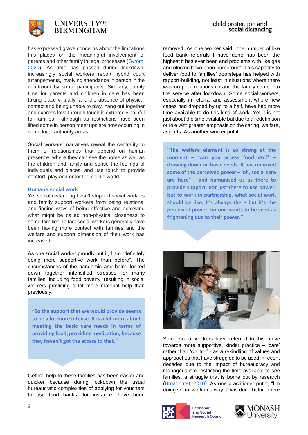

has expressed grave concerns about the limitations this places on the meaningful involvement of parents and other family in legal processes (Byrom, [2020\)](https://www.nuffieldfjo.org.uk/app/nuffield/files-module/local/documents/nfjo_remote_hearings_vulnerable%20groups_rapid%20review_20200506.pdf). As time has passed during lockdown, increasingly social workers report hybrid court arrangements, involving attendance in person in the courtroom by some participants. Similarly, family time for parents and children in care has been taking place virtually, and the absence of physical contact and being unable to play, hang out together and express love through touch is extremely painful for families - although as restrictions have been lifted some in person meet ups are now occurring in some local authority areas.

Social workers' narratives reveal the centrality to them of relationships that depend on human presence, where they can see the home as well as the children and family and sense the feelings of individuals and places, and use touch to provide comfort, play and enter the child's world.

#### **Humane social work**

Yet social distancing hasn't stopped social workers and family support workers from being relational and finding ways of being effective and achieving what might be called non-physical closeness to some families. In fact social workers generally have been having more contact with families and the welfare and support dimension of their work has increased.

As one social worker proudly put it, I am "definitely doing more supportive work than before". The circumstances of the pandemic and being locked down together intensified stresses for many families, including food poverty, resulting in social workers providing a lot more material help than previously.

**"So the support that we would provide seems to be a lot more intense. It is a lot more about meeting the basic care needs in terms of providing food, providing medication, because they haven't got the access to that."**

Getting help to these families has been easier and quicker because during lockdown the usual bureaucratic complexities of applying for vouchers to use food banks, for instance, have been

removed. As one worker said: "the number of like food bank referrals I have done has been the highest it has ever been and problems with like gas and electric have been numerous". This capacity to deliver food to families' doorsteps has helped with rapport-building, not least in situations where there was no prior relationship and the family came into the service after lockdown. Some social workers, especially in referral and assessment where new cases had dropped by up to a half, have had more time available to do this kind of work. Yet it is not just about the time available but due to a redefinition of role with greater emphasis on the caring, welfare, aspects. As another worker put it:

**"The welfare element is so strong at the moment – 'can you access food etc?' – drawing down on basic needs. It has removed some of the perceived power – 'oh, social care are here' – and humanised us as there to provide support, not just there to use power, but to work in partnership, what social work should be like. It's always there but it's the perceived power, no one wants to be seen as frightening due to their power."**



Some social workers have referred to this move towards more supportive, kinder practice – 'care' rather than 'control' - as a rekindling of values and approaches that have struggled to be used in recent decades due to the impact of bureaucracy and managerialism restricting the time available to see families, a struggle that is borne out by research [\(Broadhurst, 2010\)](https://doi.org/10.1093/bjsw/bcn162). As one practitioner put it, "I'm doing social work in a way it was done before there



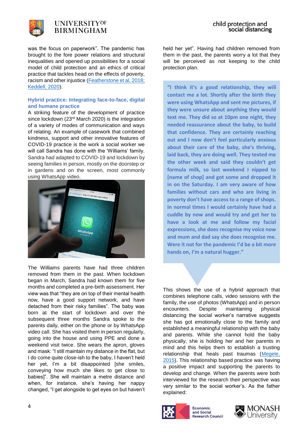

was the focus on paperwork". The pandemic has brought to the fore power relations and structural inequalities and opened up possibilities for a social model of child protection and an ethics of critical practice that tackles head on the effects of poverty, racism and other injustice [\(Featherstone et al, 2018;](https://policy.bristoluniversitypress.co.uk/protecting-children) [Keddell, 2020\)](https://ojs.victoria.ac.nz/pq/article/view/6455).

#### **Hybrid practice: Integrating face-to-face, digital and humane practice**

A striking feature of the development of practice since lockdown (23<sup>rd</sup> March 2020) is the integration of a variety of modes of communication and ways of relating. An example of casework that combined kindness, support and other innovative features of COVID-19 practice is the work a social worker we will call Sandra has done with the 'Williams' family. Sandra had adapted to COVID-19 and lockdown by seeing families in person, mostly on the doorstep or in gardens and on the screen, most commonly using WhatsApp video.



The Williams parents have had three children removed from them in the past. When lockdown began in March, Sandra had known them for five months and completed a pre-birth assessment. Her view was that "they are on top of their mental health now, have a good support network, and have detached from their risky families". The baby was born at the start of lockdown and over the subsequent three months Sandra spoke to the parents daily, either on the phone or by WhatsApp video call. She has visited them in person regularly, going into the house and using PPE and done a weekend visit twice. She wears the apron, gloves and mask: "I still maintain my distance in the flat, but I do come quite close-ish to the baby, I haven't held her yet, I'm a bit disappointed [she smiles, conveying how much she likes to get close to babies]". She will maintain a metre distance and when, for instance, she's having her nappy changed, "I get alongside to get eyes on but haven't

held her yet". Having had children removed from them in the past, the parents worry a lot that they will be perceived as not keeping to the child protection plan.

**"I think it's a good relationship, they will contact me a lot. Shortly after the birth they were using WhatsApp and sent me pictures, if they were unsure about anything they would text me. They did so at 10pm one night, they needed reassurance about the baby, to build that confidence. They are certainly reaching out and I now don't feel particularly anxious about their care of the baby, she's thriving, laid back, they are doing well. They texted me the other week and said they couldn't get formula milk, so last weekend I nipped to [name of shop] and got some and dropped it in on the Saturday. I am very aware of how families without cars and who are living in poverty don't have access to a range of shops. In normal times I would certainly have had a cuddle by now and would try and get her to have a look at me and follow my facial expressions, she does recognise my voice now and mum and dad say she does recognise me. Were it not for the pandemic I'd be a bit more hands on, I'm a natural hugger."**

This shows the use of a hybrid approach that combines telephone calls, video sessions with the family, the use of photos (WhatsApp) and in person encounters. Despite maintaining physical distancing the social worker's narrative suggests she has got emotionally close to the family and established a meaningful relationship with the baby and parents. While she cannot hold the baby physically, she is holding her and her parents in mind and this helps them to establish a trusting relationship that heals past traumas [\(Megele,](https://www.criticalpublishing.com/psychosocial-and-relationship-based-practice)  [2015\)](https://www.criticalpublishing.com/psychosocial-and-relationship-based-practice). This relationship based practice was having a positive impact and supporting the parents to develop and change. When the parents were both interviewed for the research their perspective was very similar to the social worker's. As the father explained:



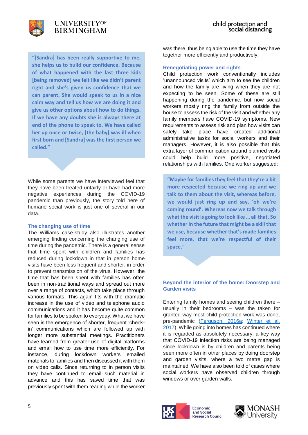

**"[Sandra] has been really supportive to me, she helps us to build our confidence. Because of what happened with the last three kids [being removed] we felt like we didn't parent right and she's given us confidence that we can parent. She would speak to us in a nice calm way and tell us how we are doing it and give us other options about how to do things. If we have any doubts she is always there at end of the phone to speak to. We have called her up once or twice, [the baby] was ill when first born and [Sandra] was the first person we called."**

While some parents we have interviewed feel that they have been treated unfairly or have had more negative experiences during the COVID-19 pandemic than previously, the story told here of humane social work is just one of several in our data.

#### **The changing use of time**

The Williams case-study also illustrates another emerging finding concerning the changing use of time during the pandemic. There is a general sense that time spent with children and families has reduced during lockdown in that in person home visits have been less frequent and shorter, in order to prevent transmission of the virus. However, the time that has been spent with families has often been in non-traditional ways and spread out more over a range of contacts, which take place through various formats. This again fits with the dramatic increase in the use of video and telephone audio communications and it has become quite common for families to be spoken to everyday. What we have seen is the emergence of shorter, frequent 'checkin' communications which are followed up with longer more substantial meetings. Practitioners have learned from greater use of digital platforms and email how to use time more efficiently. For instance, during lockdown workers emailed materials to families and then discussed it with them on video calls. Since returning to in person visits they have continued to email such material in advance and this has saved time that was previously spent with them reading while the worker

was there, thus being able to use the time they have together more efficiently and productively.

#### **Renegotiating power and rights**

Child protection work conventionally includes 'unannounced visits' which aim to see the children and how the family are living when they are not expecting to be seen. Some of these are still happening during the pandemic, but now social workers mostly ring the family from outside the house to assess the risk of the visit and whether any family members have COVID-19 symptoms. New requirements to assess risk and plan how visits can safely take place have created additional administrative tasks for social workers and their managers. However, it is also possible that this extra layer of communication around planned visits could help build more positive, negotiated relationships with families. One worker suggested:

**"Maybe for families they feel that they're a bit more respected because we ring up and we talk to them about the visit, whereas before, we would just ring up and say, 'oh we're coming round'. Whereas now we talk through what the visit is going to look like … all that. So whether in the future that might be a skill that we use, because whether that's made families feel more, that we're respectful of their space."**

#### **Beyond the interior of the home: Doorstep and Garden visits**

Entering family homes and seeing children there – usually in their bedrooms – was the taken for granted way most child protection work was done, pre-pandemic [\(Ferguson, 2016a;](https://doi.org/10.1111/cfs.12142) [Winter et al,](https://doi.org/10.1093/bjsw/bcw083)  [2017\)](https://doi.org/10.1093/bjsw/bcw083). While going into homes has continued where it is regarded as absolutely necessary, a key way that COVID-19 infection risks are being managed since lockdown is by children and parents being seen more often in other places by doing doorstep and garden visits, where a two metre gap is maintained. We have also been told of cases where social workers have observed children through windows or over garden walls.



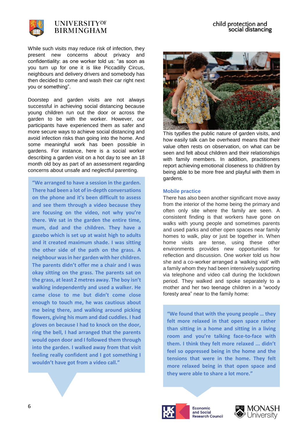

While such visits may reduce risk of infection, they present new concerns about privacy and confidentiality: as one worker told us: "as soon as you turn up for one it is like Piccadilly Circus, neighbours and delivery drivers and somebody has then decided to come and wash their car right next you or something".

Doorstep and garden visits are not always successful in achieving social distancing because young children run out the door or across the garden to be with the worker. However, our participants have experienced them as safer and more secure ways to achieve social distancing and avoid infection risks than going into the home. And some meaningful work has been possible in gardens. For instance, here is a social worker describing a garden visit on a hot day to see an 18 month old boy as part of an assessment regarding concerns about unsafe and neglectful parenting.

**"We arranged to have a session in the garden. There had been a lot of in-depth conversations on the phone and it's been difficult to assess and see them through a video because they are focusing on the video, not why you're there. We sat in the garden the entire time, mum, dad and the children. They have a gazebo which is set up at waist high to adults and it created maximum shade. I was sitting the other side of the path on the grass. A neighbour was in her garden with her children. The parents didn't offer me a chair and I was okay sitting on the grass. The parents sat on the grass, at least 2 metres away. The boy isn't walking independently and used a walker. He came close to me but didn't come close enough to touch me, he was cautious about me being there, and walking around picking flowers, giving his mum and dad cuddles. I had gloves on because I had to knock on the door, ring the bell, I had arranged that the parents would open door and I followed them through into the garden. I walked away from that visit feeling really confident and I got something I wouldn't have got from a video call."**



This typifies the public nature of garden visits, and how easily talk can be overheard means that their value often rests on observation, on what can be seen and felt about children and their relationships with family members. In addition, practitioners report achieving emotional closeness to children by being able to be more free and playful with them in gardens.

#### **Mobile practice**

There has also been another significant move away from the interior of the home being the primary and often only site where the family are seen. A consistent finding is that workers have gone on walks with young people and sometimes parents and used parks and other open spaces near family homes to walk, play or just be together in. When home visits are tense, using these other environments provides new opportunities for reflection and discussion. One worker told us how she and a co-worker arranged a 'walking visit' with a family whom they had been intensively supporting via telephone and video call during the lockdown period. They walked and spoke separately to a mother and her two teenage children in a "woody foresty area" near to the family home:

**"We found that with the young people … they felt more relaxed in that open space rather than sitting in a home and sitting in a living room and you're talking face-to-face with them. I think they felt more relaxed ... didn't feel so oppressed being in the home and the tensions that were in the home. They felt more relaxed being in that open space and they were able to share a lot more."**



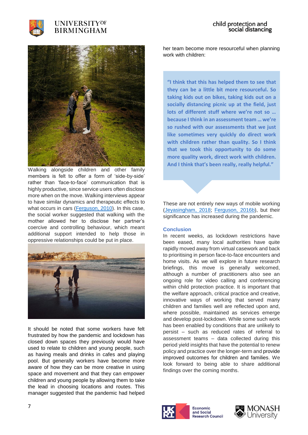



Walking alongside children and other family members is felt to offer a form of 'side-by-side' rather than 'face-to-face' communication that is highly productive, since service users often disclose more when on the move. Walking interviews appear to have similar dynamics and therapeutic effects to what occurs in cars [\(Ferguson, 2010\)](https://doi.org/10.1080/02650531003741553). In this case, the social worker suggested that walking with the mother allowed her to disclose her partner's coercive and controlling behaviour, which meant additional support intended to help those in oppressive relationships could be put in place.



It should be noted that some workers have felt frustrated by how the pandemic and lockdown has closed down spaces they previously would have used to relate to children and young people, such as having meals and drinks in cafes and playing pool. But generally workers have become more aware of how they can be more creative in using space and movement and that they can empower children and young people by allowing them to take the lead in choosing locations and routes. This manager suggested that the pandemic had helped

her team become more resourceful when planning work with children:

**"I think that this has helped them to see that they can be a little bit more resourceful. So taking kids out on bikes, taking kids out on a socially distancing picnic up at the field, just lots of different stuff where we're not so … because I think in an assessment team … we're so rushed with our assessments that we just like sometimes very quickly do direct work with children rather than quality. So I think that we took this opportunity to do some more quality work, direct work with children. And I think that's been really, really helpful."**

These are not entirely new ways of mobile working [\(Jeyasingham, 2018;](https://journals.sagepub.com/doi/full/10.1177/1473325016657867) [Ferguson, 2016b\)](https://doi.org/10.1080/23800127.2016.1247523), but their significance has increased during the pandemic.

#### **Conclusion**

In recent weeks, as lockdown restrictions have been eased, many local authorities have quite rapidly moved away from virtual casework and back to prioritising in person face-to-face encounters and home visits. As we will explore in future research briefings, this move is generally welcomed, although a number of practitioners also see an ongoing role for video calling and conferencing within child protection practice. It is important that the welfare approach, critical practice and creative, innovative ways of working that served many children and families well are reflected upon and, where possible, maintained as services emerge and develop post-lockdown. While some such work has been enabled by conditions that are unlikely to persist – such as reduced rates of referral to assessment teams – data collected during this period yield insights that have the potential to renew policy and practice over the longer-term and provide improved outcomes for children and families. We look forward to being able to share additional findings over the coming months.